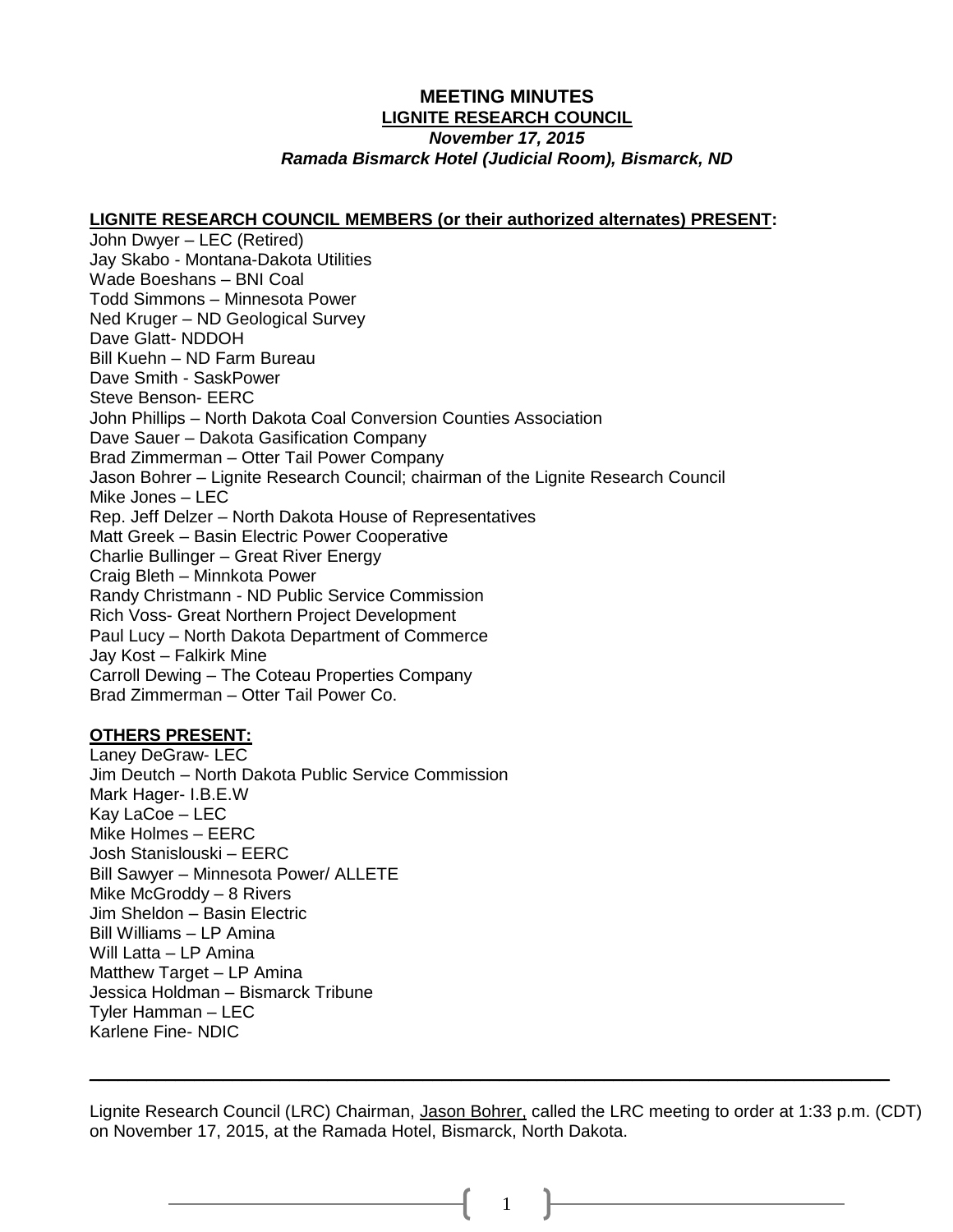# **MEETING MINUTES LIGNITE RESEARCH COUNCIL**

### *November 17, 2015 Ramada Bismarck Hotel (Judicial Room), Bismarck, ND*

#### **LIGNITE RESEARCH COUNCIL MEMBERS (or their authorized alternates) PRESENT:**

John Dwyer – LEC (Retired) Jay Skabo - Montana-Dakota Utilities Wade Boeshans – BNI Coal Todd Simmons – Minnesota Power Ned Kruger – ND Geological Survey Dave Glatt- NDDOH Bill Kuehn – ND Farm Bureau Dave Smith - SaskPower Steve Benson- EERC John Phillips – North Dakota Coal Conversion Counties Association Dave Sauer – Dakota Gasification Company Brad Zimmerman – Otter Tail Power Company Jason Bohrer – Lignite Research Council; chairman of the Lignite Research Council Mike Jones – LEC Rep. Jeff Delzer – North Dakota House of Representatives Matt Greek – Basin Electric Power Cooperative Charlie Bullinger – Great River Energy Craig Bleth – Minnkota Power Randy Christmann - ND Public Service Commission Rich Voss- Great Northern Project Development Paul Lucy – North Dakota Department of Commerce Jay Kost – Falkirk Mine Carroll Dewing – The Coteau Properties Company Brad Zimmerman – Otter Tail Power Co.

### **OTHERS PRESENT:**

Laney DeGraw- LEC Jim Deutch – North Dakota Public Service Commission Mark Hager- I.B.E.W Kay LaCoe – LEC Mike Holmes – EERC Josh Stanislouski – EERC Bill Sawyer – Minnesota Power/ ALLETE Mike McGroddy – 8 Rivers Jim Sheldon – Basin Electric Bill Williams – LP Amina Will Latta – LP Amina Matthew Target – LP Amina Jessica Holdman – Bismarck Tribune Tyler Hamman – LEC Karlene Fine- NDIC

Lignite Research Council (LRC) Chairman, Jason Bohrer, called the LRC meeting to order at 1:33 p.m. (CDT) on November 17, 2015, at the Ramada Hotel, Bismarck, North Dakota.

\_\_\_\_\_\_\_\_\_\_\_\_\_\_\_\_\_\_\_\_\_\_\_\_\_\_\_\_\_\_\_\_\_\_\_\_\_\_\_\_\_\_\_\_\_\_\_\_\_\_\_\_\_\_\_\_\_\_\_\_\_\_\_\_\_\_\_\_\_\_\_\_\_\_\_\_\_\_\_\_\_\_\_\_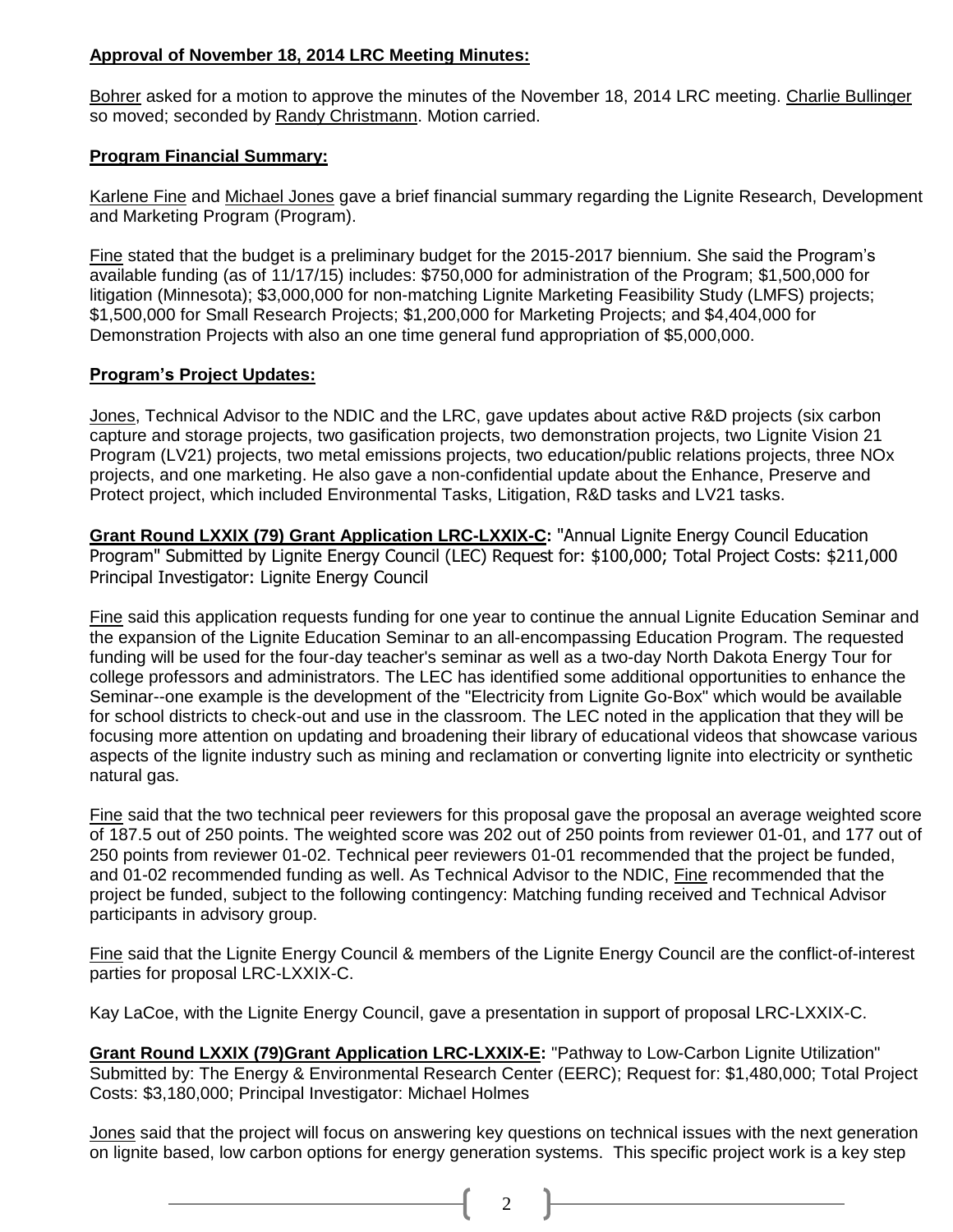# **Approval of November 18, 2014 LRC Meeting Minutes:**

Bohrer asked for a motion to approve the minutes of the November 18, 2014 LRC meeting. Charlie Bullinger so moved; seconded by Randy Christmann. Motion carried.

## **Program Financial Summary:**

Karlene Fine and Michael Jones gave a brief financial summary regarding the Lignite Research, Development and Marketing Program (Program).

Fine stated that the budget is a preliminary budget for the 2015-2017 biennium. She said the Program's available funding (as of 11/17/15) includes: \$750,000 for administration of the Program; \$1,500,000 for litigation (Minnesota); \$3,000,000 for non-matching Lignite Marketing Feasibility Study (LMFS) projects; \$1,500,000 for Small Research Projects; \$1,200,000 for Marketing Projects; and \$4,404,000 for Demonstration Projects with also an one time general fund appropriation of \$5,000,000.

## **Program's Project Updates:**

Jones, Technical Advisor to the NDIC and the LRC, gave updates about active R&D projects (six carbon capture and storage projects, two gasification projects, two demonstration projects, two Lignite Vision 21 Program (LV21) projects, two metal emissions projects, two education/public relations projects, three NOx projects, and one marketing. He also gave a non-confidential update about the Enhance, Preserve and Protect project, which included Environmental Tasks, Litigation, R&D tasks and LV21 tasks.

**Grant Round LXXIX (79) Grant Application LRC-LXXIX-C:** "Annual Lignite Energy Council Education Program" Submitted by Lignite Energy Council (LEC) Request for: \$100,000; Total Project Costs: \$211,000 Principal Investigator: Lignite Energy Council

Fine said this application requests funding for one year to continue the annual Lignite Education Seminar and the expansion of the Lignite Education Seminar to an all-encompassing Education Program. The requested funding will be used for the four-day teacher's seminar as well as a two-day North Dakota Energy Tour for college professors and administrators. The LEC has identified some additional opportunities to enhance the Seminar--one example is the development of the "Electricity from Lignite Go-Box" which would be available for school districts to check-out and use in the classroom. The LEC noted in the application that they will be focusing more attention on updating and broadening their library of educational videos that showcase various aspects of the lignite industry such as mining and reclamation or converting lignite into electricity or synthetic natural gas.

Fine said that the two technical peer reviewers for this proposal gave the proposal an average weighted score of 187.5 out of 250 points. The weighted score was 202 out of 250 points from reviewer 01-01, and 177 out of 250 points from reviewer 01-02. Technical peer reviewers 01-01 recommended that the project be funded, and 01-02 recommended funding as well. As Technical Advisor to the NDIC, Fine recommended that the project be funded, subject to the following contingency: Matching funding received and Technical Advisor participants in advisory group.

Fine said that the Lignite Energy Council & members of the Lignite Energy Council are the conflict-of-interest parties for proposal LRC-LXXIX-C.

Kay LaCoe, with the Lignite Energy Council, gave a presentation in support of proposal LRC-LXXIX-C.

**Grant Round LXXIX (79)Grant Application LRC-LXXIX-E:** "Pathway to Low-Carbon Lignite Utilization" Submitted by: The Energy & Environmental Research Center (EERC); Request for: \$1,480,000; Total Project Costs: \$3,180,000; Principal Investigator: Michael Holmes

Jones said that the project will focus on answering key questions on technical issues with the next generation on lignite based, low carbon options for energy generation systems. This specific project work is a key step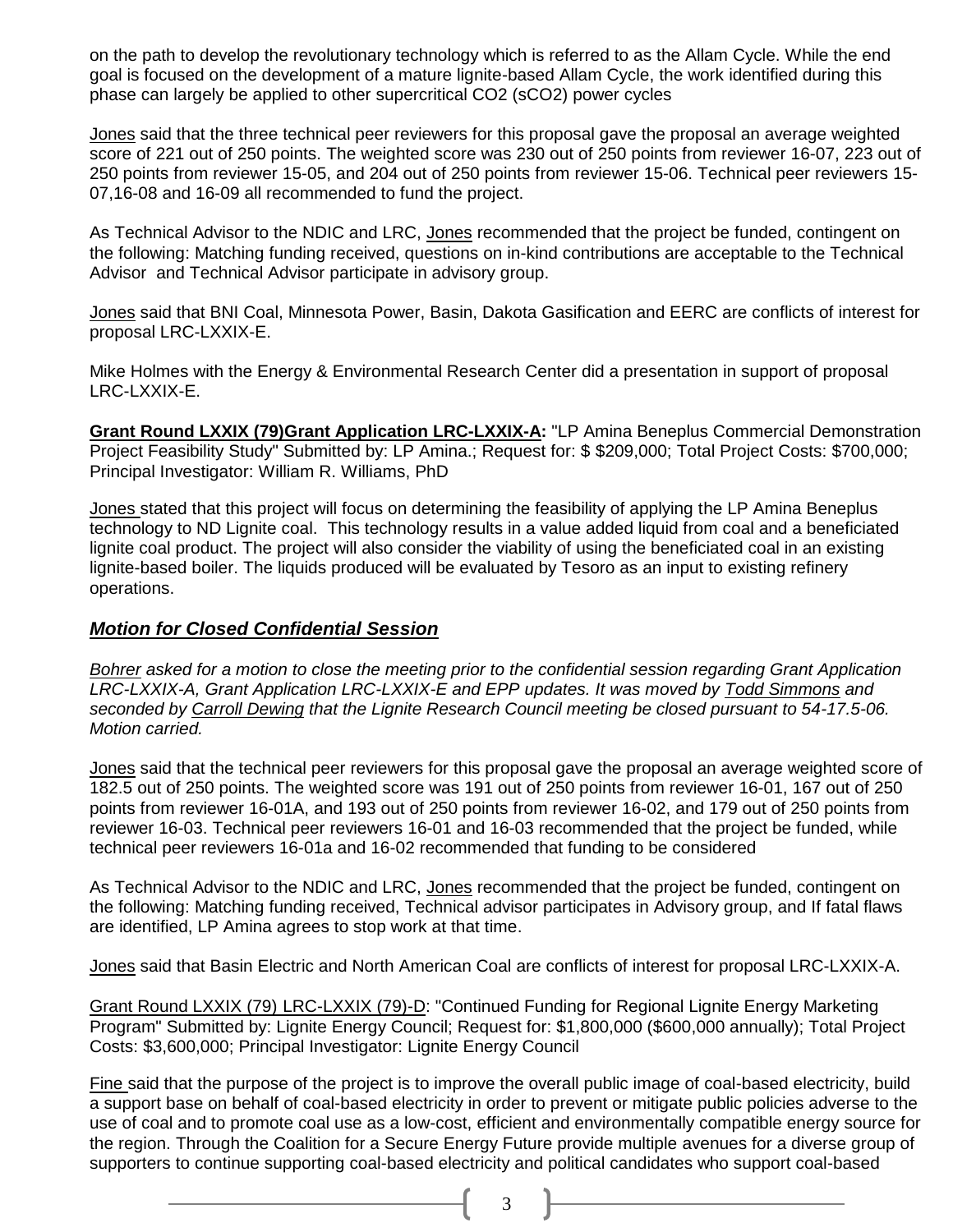on the path to develop the revolutionary technology which is referred to as the Allam Cycle. While the end goal is focused on the development of a mature lignite-based Allam Cycle, the work identified during this phase can largely be applied to other supercritical CO2 (sCO2) power cycles

Jones said that the three technical peer reviewers for this proposal gave the proposal an average weighted score of 221 out of 250 points. The weighted score was 230 out of 250 points from reviewer 16-07, 223 out of 250 points from reviewer 15-05, and 204 out of 250 points from reviewer 15-06. Technical peer reviewers 15- 07,16-08 and 16-09 all recommended to fund the project.

As Technical Advisor to the NDIC and LRC, Jones recommended that the project be funded, contingent on the following: Matching funding received, questions on in-kind contributions are acceptable to the Technical Advisor and Technical Advisor participate in advisory group.

Jones said that BNI Coal, Minnesota Power, Basin, Dakota Gasification and EERC are conflicts of interest for proposal LRC-LXXIX-E.

Mike Holmes with the Energy & Environmental Research Center did a presentation in support of proposal LRC-LXXIX-E.

**Grant Round LXXIX (79)Grant Application LRC-LXXIX-A:** "LP Amina Beneplus Commercial Demonstration Project Feasibility Study" Submitted by: LP Amina.; Request for: \$ \$209,000; Total Project Costs: \$700,000; Principal Investigator: William R. Williams, PhD

Jones stated that this project will focus on determining the feasibility of applying the LP Amina Beneplus technology to ND Lignite coal. This technology results in a value added liquid from coal and a beneficiated lignite coal product. The project will also consider the viability of using the beneficiated coal in an existing lignite-based boiler. The liquids produced will be evaluated by Tesoro as an input to existing refinery operations.

# *Motion for Closed Confidential Session*

*Bohrer asked for a motion to close the meeting prior to the confidential session regarding Grant Application LRC-LXXIX-A, Grant Application LRC-LXXIX-E and EPP updates. It was moved by Todd Simmons and seconded by Carroll Dewing that the Lignite Research Council meeting be closed pursuant to 54-17.5-06. Motion carried.*

Jones said that the technical peer reviewers for this proposal gave the proposal an average weighted score of 182.5 out of 250 points. The weighted score was 191 out of 250 points from reviewer 16-01, 167 out of 250 points from reviewer 16-01A, and 193 out of 250 points from reviewer 16-02, and 179 out of 250 points from reviewer 16-03. Technical peer reviewers 16-01 and 16-03 recommended that the project be funded, while technical peer reviewers 16-01a and 16-02 recommended that funding to be considered

As Technical Advisor to the NDIC and LRC, Jones recommended that the project be funded, contingent on the following: Matching funding received, Technical advisor participates in Advisory group, and If fatal flaws are identified, LP Amina agrees to stop work at that time.

Jones said that Basin Electric and North American Coal are conflicts of interest for proposal LRC-LXXIX-A.

Grant Round LXXIX (79) LRC-LXXIX (79)-D: "Continued Funding for Regional Lignite Energy Marketing Program" Submitted by: Lignite Energy Council; Request for: \$1,800,000 (\$600,000 annually); Total Project Costs: \$3,600,000; Principal Investigator: Lignite Energy Council

Fine said that the purpose of the project is to improve the overall public image of coal-based electricity, build a support base on behalf of coal-based electricity in order to prevent or mitigate public policies adverse to the use of coal and to promote coal use as a low-cost, efficient and environmentally compatible energy source for the region. Through the Coalition for a Secure Energy Future provide multiple avenues for a diverse group of supporters to continue supporting coal-based electricity and political candidates who support coal-based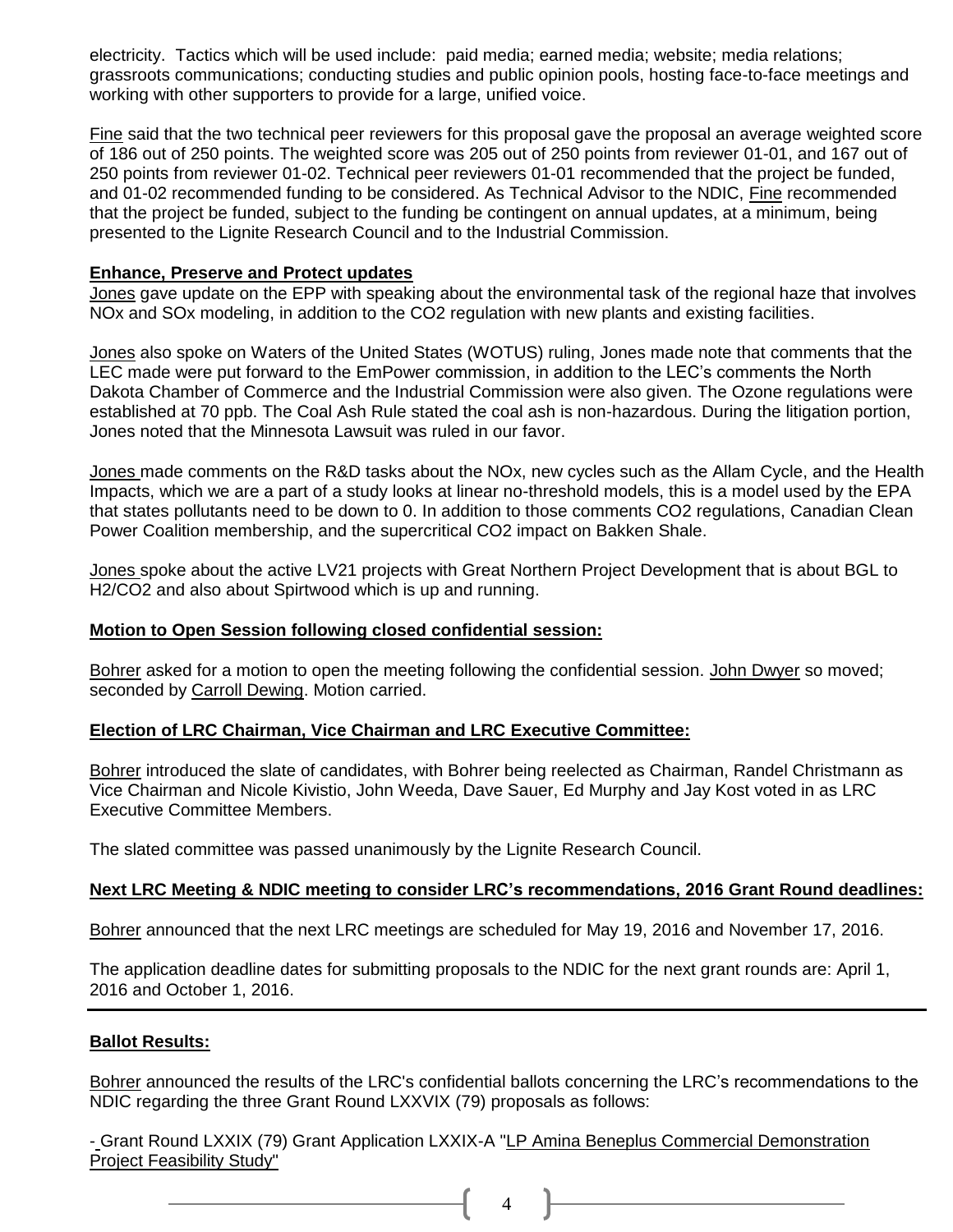electricity. Tactics which will be used include: paid media; earned media; website; media relations; grassroots communications; conducting studies and public opinion pools, hosting face-to-face meetings and working with other supporters to provide for a large, unified voice.

Fine said that the two technical peer reviewers for this proposal gave the proposal an average weighted score of 186 out of 250 points. The weighted score was 205 out of 250 points from reviewer 01-01, and 167 out of 250 points from reviewer 01-02. Technical peer reviewers 01-01 recommended that the project be funded, and 01-02 recommended funding to be considered. As Technical Advisor to the NDIC, Fine recommended that the project be funded, subject to the funding be contingent on annual updates, at a minimum, being presented to the Lignite Research Council and to the Industrial Commission.

### **Enhance, Preserve and Protect updates**

Jones gave update on the EPP with speaking about the environmental task of the regional haze that involves NOx and SOx modeling, in addition to the CO2 regulation with new plants and existing facilities.

Jones also spoke on Waters of the United States (WOTUS) ruling, Jones made note that comments that the LEC made were put forward to the EmPower commission, in addition to the LEC's comments the North Dakota Chamber of Commerce and the Industrial Commission were also given. The Ozone regulations were established at 70 ppb. The Coal Ash Rule stated the coal ash is non-hazardous. During the litigation portion, Jones noted that the Minnesota Lawsuit was ruled in our favor.

Jones made comments on the R&D tasks about the NOx, new cycles such as the Allam Cycle, and the Health Impacts, which we are a part of a study looks at linear no-threshold models, this is a model used by the EPA that states pollutants need to be down to 0. In addition to those comments CO2 regulations, Canadian Clean Power Coalition membership, and the supercritical CO2 impact on Bakken Shale.

Jones spoke about the active LV21 projects with Great Northern Project Development that is about BGL to H2/CO2 and also about Spirtwood which is up and running.

### **Motion to Open Session following closed confidential session:**

Bohrer asked for a motion to open the meeting following the confidential session. John Dwyer so moved; seconded by Carroll Dewing. Motion carried.

### **Election of LRC Chairman, Vice Chairman and LRC Executive Committee:**

Bohrer introduced the slate of candidates, with Bohrer being reelected as Chairman, Randel Christmann as Vice Chairman and Nicole Kivistio, John Weeda, Dave Sauer, Ed Murphy and Jay Kost voted in as LRC Executive Committee Members.

The slated committee was passed unanimously by the Lignite Research Council.

### **Next LRC Meeting & NDIC meeting to consider LRC's recommendations, 2016 Grant Round deadlines:**

Bohrer announced that the next LRC meetings are scheduled for May 19, 2016 and November 17, 2016.

The application deadline dates for submitting proposals to the NDIC for the next grant rounds are: April 1, 2016 and October 1, 2016.

### **Ballot Results:**

Bohrer announced the results of the LRC's confidential ballots concerning the LRC's recommendations to the NDIC regarding the three Grant Round LXXVIX (79) proposals as follows:

4

- Grant Round LXXIX (79) Grant Application LXXIX-A "LP Amina Beneplus Commercial Demonstration Project Feasibility Study"